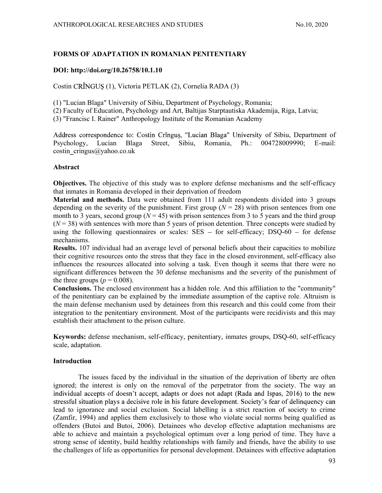# FORMS OF ADAPTATION IN ROMANIAN PENITENTIARY

# DOI: http://doi.org/10.26758/10.1.10

Costin CRÎNGUS (1), Victoria PETLAK (2), Cornelia RADA (3)

(1) "Lucian Blaga" University of Sibiu, Department of Psychology, Romania;

(2) Faculty of Education, Psychology and Art, Baltijas Starptautiska Akademija, Riga, Latvia;

(3) "Francisc I. Rainer" Anthropology Institute of the Romanian Academy

Address correspondence to: Costin Crînguș, "Lucian Blaga" University of Sibiu, Department of Psychology, Lucian Blaga Street, Sibiu, Romania, Ph.: 004728009990; E-mail: costin\_cringus@yahoo.co.uk

## Abstract

Objectives. The objective of this study was to explore defense mechanisms and the self-efficacy that inmates in Romania developed in their deprivation of freedom

Material and methods. Data were obtained from 111 adult respondents divided into 3 groups depending on the severity of the punishment. First group ( $N = 28$ ) with prison sentences from one month to 3 years, second group ( $N = 45$ ) with prison sentences from 3 to 5 years and the third group  $(N = 38)$  with sentences with more than 5 years of prison detention. Three concepts were studied by using the following questionnaires or scales:  $SES - for self-efficacy$ ; DSQ-60 - for defense mechanisms.

Results. 107 individual had an average level of personal beliefs about their capacities to mobilize their cognitive resources onto the stress that they face in the closed environment, self-efficacy also influences the resources allocated into solving a task. Even though it seems that there were no significant differences between the 30 defense mechanisms and the severity of the punishment of the three groups ( $p = 0.008$ ).

Conclusions. The enclosed environment has a hidden role. And this affiliation to the "community" of the penitentiary can be explained by the immediate assumption of the captive role. Altruism is the main defense mechanism used by detainees from this research and this could come from their integration to the penitentiary environment. Most of the participants were recidivists and this may establish their attachment to the prison culture.

Keywords: defense mechanism, self-efficacy, penitentiary, inmates groups, DSQ-60, self-efficacy scale, adaptation.

## Introduction

The issues faced by the individual in the situation of the deprivation of liberty are often ignored; the interest is only on the removal of the perpetrator from the society. The way an individual accepts of doesn't accept, adapts or does not adapt (Rada and Ispas, 2016) to the new stressful situation plays a decisive role in his future development. Society's fear of delinguency can lead to ignorance and social exclusion. Social labelling is a strict reaction of society to crime (Zamfir, 1994) and applies them exclusively to those who violate social norms being qualified as offenders (Butoi and Butoi, 2006). Detainees who develop effective adaptation mechanisms are able to achieve and maintain a psychological optimum over a long period of time. They have a strong sense of identity, build healthy relationships with family and friends, have the ability to use the challenges of life as opportunities for personal development. Detainees with effective adaptation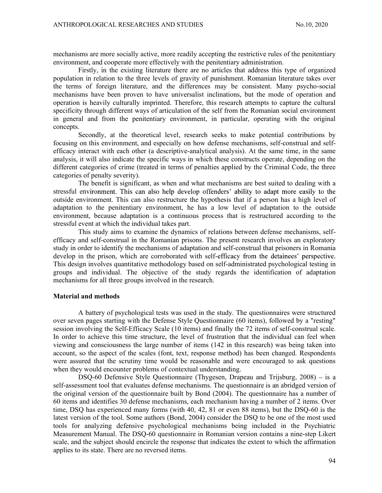mechanisms are more socially active, more readily accepting the restrictive rules of the penitentiary environment, and cooperate more effectively with the penitentiary administration.

Firstly, in the existing literature there are no articles that address this type of organized population in relation to the three levels of gravity of punishment. Romanian literature takes over the terms of foreign literature, and the differences may be consistent. Many psycho-social mechanisms have been proven to have universalist inclinations, but the mode of operation and operation is heavily culturally imprinted. Therefore, this research attempts to capture the cultural specificity through different ways of articulation of the self from the Romanian social environment in general and from the penitentiary environment, in particular, operating with the original concepts.

Secondly, at the theoretical level, research seeks to make potential contributions by focusing on this environment, and especially on how defense mechanisms, self-construal and selfefficacy interact with each other (a descriptive-analytical analysis). At the same time, in the same analysis, it will also indicate the specific ways in which these constructs operate, depending on the different categories of crime (treated in terms of penalties applied by the Criminal Code, the three categories of penalty severity).

The benefit is significant, as when and what mechanisms are best suited to dealing with a stressful environment. This can also help develop offenders' ability to adapt more easily to the outside environment. This can also restructure the hypothesis that if a person has a high level of adaptation to the penitentiary environment, he has a low level of adaptation to the outside environment, because adaptation is a continuous process that is restructured according to the stressful event at which the individual takes part.

This study aims to examine the dynamics of relations between defense mechanisms, selfefficacy and self-construal in the Romanian prisons. The present research involves an exploratory study in order to identify the mechanisms of adaptation and self-construal that prisoners in Romania develop in the prison, which are corroborated with self-efficacy from the detainees' perspective. This design involves quantitative methodology based on self-administrated psychological testing in groups and individual. The objective of the study regards the identification of adaptation mechanisms for all three groups involved in the research.

### Material and methods

A battery of psychological tests was used in the study. The questionnaires were structured over seven pages starting with the Defense Style Questionnaire (60 items), followed by a "resting" session involving the Self-Efficacy Scale (10 items) and finally the 72 items of self-construal scale. In order to achieve this time structure, the level of frustration that the individual can feel when viewing and consciousness the large number of items (142 in this research) was being taken into account, so the aspect of the scales (font, text, response method) has been changed. Respondents were assured that the scrutiny time would be reasonable and were encouraged to ask questions when they would encounter problems of contextual understanding.

DSQ-60 Defensive Style Questionnaire (Thygesen, Drapeau and Trijsburg,  $2008$ ) – is a self-assessment tool that evaluates defense mechanisms. The questionnaire is an abridged version of the original version of the questionnaire built by Bond (2004). The questionnaire has a number of 60 items and identifies 30 defense mechanisms, each mechanism having a number of 2 items. Over time, DSQ has experienced many forms (with 40, 42, 81 or even 88 items), but the DSQ-60 is the latest version of the tool. Some authors (Bond, 2004) consider the DSQ to be one of the most used tools for analyzing defensive psychological mechanisms being included in the Psychiatric Measurement Manual. The DSQ-60 questionnaire in Romanian version contains a nine-step Likert scale, and the subject should encircle the response that indicates the extent to which the affirmation applies to its state. There are no reversed items.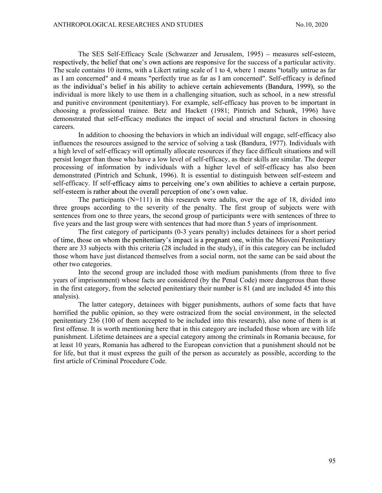The SES Self-Efficacy Scale (Schwarzer and Jerusalem, 1995) – measures self-esteem, respectively, the belief that one's own actions are responsive for the success of a particular activity. The scale contains 10 items, with a Likert rating scale of 1 to 4, where 1 means "totally untrue as far as I am concerned" and 4 means "perfectly true as far as I am concerned". Self-efficacy is defined as the individual's belief in his ability to achieve certain achievements (Bandura, 1999), so the individual is more likely to use them in a challenging situation, such as school, in a new stressful and punitive environment (penitentiary). For example, self-efficacy has proven to be important in choosing a professional trainee. Betz and Hackett (1981; Pintrich and Schunk, 1996) have demonstrated that self-efficacy mediates the impact of social and structural factors in choosing careers.

In addition to choosing the behaviors in which an individual will engage, self-efficacy also influences the resources assigned to the service of solving a task (Bandura, 1977). Individuals with a high level of self-efficacy will optimally allocate resources if they face difficult situations and will persist longer than those who have a low level of self-efficacy, as their skills are similar. The deeper processing of information by individuals with a higher level of self-efficacy has also been demonstrated (Pintrich and Schunk, 1996). It is essential to distinguish between self-esteem and self-efficacy. If self-efficacy aims to perceiving one's own abilities to achieve a certain purpose, self-esteem is rather about the overall perception of one's own value.

The participants  $(N=111)$  in this research were adults, over the age of 18, divided into three groups according to the severity of the penalty. The first group of subjects were with sentences from one to three years, the second group of participants were with sentences of three to five years and the last group were with sentences that had more than 5 years of imprisonment.

The first category of participants (0-3 years penalty) includes detainees for a short period of time, those on whom the penitentiary's impact is a pregnant one, within the Mioveni Penitentiary there are 33 subjects with this criteria (28 included in the study), if in this category can be included those whom have just distanced themselves from a social norm, not the same can be said about the other two categories.

Into the second group are included those with medium punishments (from three to five years of imprisonment) whose facts are considered (by the Penal Code) more dangerous than those in the first category, from the selected penitentiary their number is 81 (and are included 45 into this analysis).

The latter category, detainees with bigger punishments, authors of some facts that have horrified the public opinion, so they were ostracized from the social environment, in the selected penitentiary 236 (100 of them accepted to be included into this research), also none of them is at first offense. It is worth mentioning here that in this category are included those whom are with life punishment. Lifetime detainees are a special category among the criminals in Romania because, for at least 10 years, Romania has adhered to the European conviction that a punishment should not be for life, but that it must express the guilt of the person as accurately as possible, according to the first article of Criminal Procedure Code.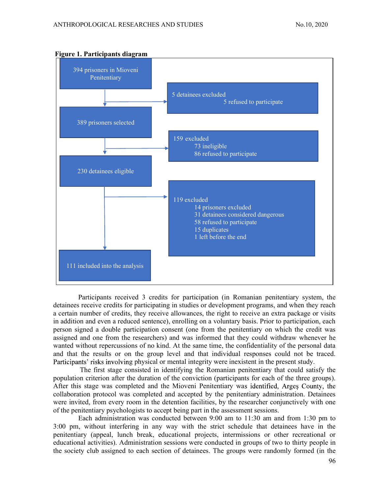

## Figure 1. Participants diagram

Participants received 3 credits for participation (in Romanian penitentiary system, the detainees receive credits for participating in studies or development programs, and when they reach a certain number of credits, they receive allowances, the right to receive an extra package or visits in addition and even a reduced sentence), enrolling on a voluntary basis. Prior to participation, each person signed a double participation consent (one from the penitentiary on which the credit was assigned and one from the researchers) and was informed that they could withdraw whenever he wanted without repercussions of no kind. At the same time, the confidentiality of the personal data and that the results or on the group level and that individual responses could not be traced. Participants' risks involving physical or mental integrity were inexistent in the present study.

 The first stage consisted in identifying the Romanian penitentiary that could satisfy the population criterion after the duration of the conviction (participants for each of the three groups). After this stage was completed and the Mioveni Penitentiary was identified, Arges County, the collaboration protocol was completed and accepted by the penitentiary administration. Detainees were invited, from every room in the detention facilities, by the researcher conjunctively with one of the penitentiary psychologists to accept being part in the assessment sessions.

Each administration was conducted between 9:00 am to 11:30 am and from 1:30 pm to 3:00 pm, without interfering in any way with the strict schedule that detainees have in the penitentiary (appeal, lunch break, educational projects, intermissions or other recreational or educational activities). Administration sessions were conducted in groups of two to thirty people in the society club assigned to each section of detainees. The groups were randomly formed (in the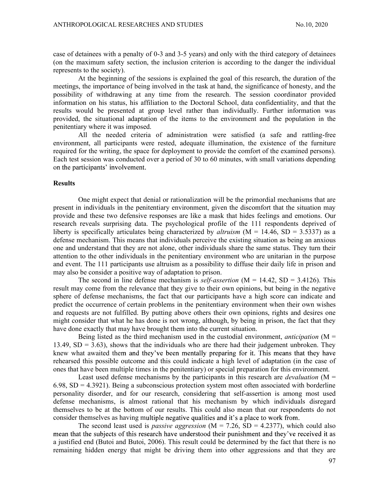case of detainees with a penalty of 0-3 and 3-5 years) and only with the third category of detainees (on the maximum safety section, the inclusion criterion is according to the danger the individual represents to the society).

At the beginning of the sessions is explained the goal of this research, the duration of the meetings, the importance of being involved in the task at hand, the significance of honesty, and the possibility of withdrawing at any time from the research. The session coordinator provided information on his status, his affiliation to the Doctoral School, data confidentiality, and that the results would be presented at group level rather than individually. Further information was provided, the situational adaptation of the items to the environment and the population in the penitentiary where it was imposed.

All the needed criteria of administration were satisfied (a safe and rattling-free environment, all participants were rested, adequate illumination, the existence of the furniture required for the writing, the space for deployment to provide the comfort of the examined persons). Each test session was conducted over a period of 30 to 60 minutes, with small variations depending on the participants' involvement.

#### **Results**

 One might expect that denial or rationalization will be the primordial mechanisms that are present in individuals in the penitentiary environment, given the discomfort that the situation may provide and these two defensive responses are like a mask that hides feelings and emotions. Our research reveals surprising data. The psychological profile of the 111 respondents deprived of liberty is specifically articulates being characterized by *altruism* ( $M = 14.46$ ,  $SD = 3.5337$ ) as a defense mechanism. This means that individuals perceive the existing situation as being an anxious one and understand that they are not alone, other individuals share the same status. They turn their attention to the other individuals in the penitentiary environment who are unitarian in the purpose and event. The 111 participants use altruism as a possibility to diffuse their daily life in prison and may also be consider a positive way of adaptation to prison.

The second in line defense mechanism is *self-assertion* ( $M = 14.42$ ,  $SD = 3.4126$ ). This result may come from the relevance that they give to their own opinions, but being in the negative sphere of defense mechanisms, the fact that our participants have a high score can indicate and predict the occurrence of certain problems in the penitentiary environment when their own wishes and requests are not fulfilled. By putting above others their own opinions, rights and desires one might consider that what he has done is not wrong, although, by being in prison, the fact that they have done exactly that may have brought them into the current situation.

Being listed as the third mechanism used in the custodial environment, *anticipation* ( $M =$ 13.49,  $SD = 3.63$ ), shows that the individuals who are there had their judgement unbroken. They knew what awaited them and they've been mentally preparing for it. This means that they have rehearsed this possible outcome and this could indicate a high level of adaptation (in the case of ones that have been multiple times in the penitentiary) or special preparation for this environment.

Least used defense mechanisms by the participants in this research are *devaluation* ( $M =$  $6.98$ , SD = 4.3921). Being a subconscious protection system most often associated with borderline personality disorder, and for our research, considering that self-assertion is among most used defense mechanisms, is almost rational that his mechanism by which individuals disregard themselves to be at the bottom of our results. This could also mean that our respondents do not consider themselves as having multiple negative qualities and it's a place to work from.

The second least used is *passive aggression* ( $M = 7.26$ ,  $SD = 4.2377$ ), which could also mean that the subjects of this research have understood their punishment and they've received it as a justified end (Butoi and Butoi, 2006). This result could be determined by the fact that there is no remaining hidden energy that might be driving them into other aggressions and that they are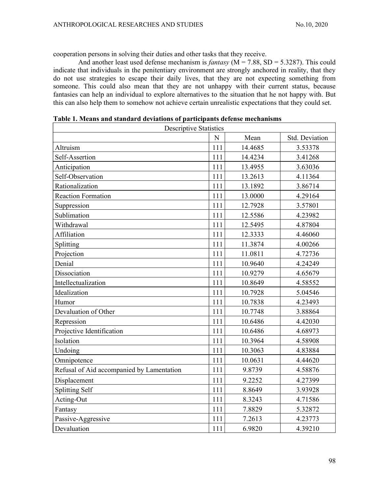cooperation persons in solving their duties and other tasks that they receive.

And another least used defense mechanism is *fantasy* ( $M = 7.88$ , SD = 5.3287). This could indicate that individuals in the penitentiary environment are strongly anchored in reality, that they do not use strategies to escape their daily lives, that they are not expecting something from someone. This could also mean that they are not unhappy with their current status, because fantasies can help an individual to explore alternatives to the situation that he not happy with. But this can also help them to somehow not achieve certain unrealistic expectations that they could set.

| <b>Descriptive Statistics</b>             |           |         |                |
|-------------------------------------------|-----------|---------|----------------|
|                                           | ${\bf N}$ | Mean    | Std. Deviation |
| Altruism                                  | 111       | 14.4685 | 3.53378        |
| Self-Assertion                            | 111       | 14.4234 | 3.41268        |
| Anticipation                              | 111       | 13.4955 | 3.63036        |
| Self-Observation                          | 111       | 13.2613 | 4.11364        |
| Rationalization                           | 111       | 13.1892 | 3.86714        |
| <b>Reaction Formation</b>                 | 111       | 13.0000 | 4.29164        |
| Suppression                               | 111       | 12.7928 | 3.57801        |
| Sublimation                               | 111       | 12.5586 | 4.23982        |
| Withdrawal                                | 111       | 12.5495 | 4.87804        |
| Affiliation                               | 111       | 12.3333 | 4.46060        |
| Splitting                                 | 111       | 11.3874 | 4.00266        |
| Projection                                | 111       | 11.0811 | 4.72736        |
| Denial                                    | 111       | 10.9640 | 4.24249        |
| Dissociation                              | 111       | 10.9279 | 4.65679        |
| Intellectualization                       | 111       | 10.8649 | 4.58552        |
| Idealization                              | 111       | 10.7928 | 5.04546        |
| Humor                                     | 111       | 10.7838 | 4.23493        |
| Devaluation of Other                      | 111       | 10.7748 | 3.88864        |
| Repression                                | 111       | 10.6486 | 4.42030        |
| Projective Identification                 | 111       | 10.6486 | 4.68973        |
| Isolation                                 | 111       | 10.3964 | 4.58908        |
| Undoing                                   | 111       | 10.3063 | 4.83884        |
| Omnipotence                               | 111       | 10.0631 | 4.44620        |
| Refusal of Aid accompanied by Lamentation | 111       | 9.8739  | 4.58876        |
| Displacement                              | 111       | 9.2252  | 4.27399        |
| <b>Splitting Self</b>                     | 111       | 8.8649  | 3.93928        |
| Acting-Out                                | 111       | 8.3243  | 4.71586        |
| Fantasy                                   | 111       | 7.8829  | 5.32872        |
| Passive-Aggressive                        | 111       | 7.2613  | 4.23773        |
| Devaluation                               | 111       | 6.9820  | 4.39210        |

Table 1. Means and standard deviations of participants defense mechanisms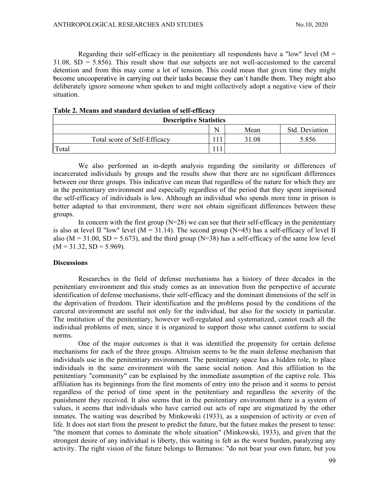Regarding their self-efficacy in the penitentiary all respondents have a "low" level  $(M =$  $31.08$ ,  $SD = 5.856$ ). This result show that our subjects are not well-accustomed to the carceral detention and from this may come a lot of tension. This could mean that given time they might become uncooperative in carrying out their tasks because they can't handle them. They might also deliberately ignore someone when spoken to and might collectively adopt a negative view of their situation.

| <b>Descriptive Statistics</b> |         |       |                |  |
|-------------------------------|---------|-------|----------------|--|
|                               | N       | Mean  | Std. Deviation |  |
| Total score of Self-Efficacy  | 11<br>. | 31.08 | 5.856          |  |
| Total                         |         |       |                |  |

| Table 2. Means and standard deviation of self-efficacy |
|--------------------------------------------------------|
|--------------------------------------------------------|

 We also performed an in-depth analysis regarding the similarity or differences of incarcerated individuals by groups and the results show that there are no significant differences between our three groups. This indicative can mean that regardless of the nature for which they are in the penitentiary environment and especially regardless of the period that they spent imprisoned the self-efficacy of individuals is low. Although an individual who spends more time in prison is better adapted to that environment, there were not obtain significant differences between these groups.

In concern with the first group  $(N=28)$  we can see that their self-efficacy in the penitentiary is also at level II "low" level ( $M = 31.14$ ). The second group ( $N=45$ ) has a self-efficacy of level II also ( $M = 31.00$ ,  $SD = 5.673$ ), and the third group ( $N = 38$ ) has a self-efficacy of the same low level  $(M = 31.32, SD = 5.969).$ 

### **Discussions**

Researches in the field of defense mechanisms has a history of three decades in the penitentiary environment and this study comes as an innovation from the perspective of accurate identification of defense mechanisms, their self-efficacy and the dominant dimensions of the self in the deprivation of freedom. Their identification and the problems posed by the conditions of the carceral environment are useful not only for the individual, but also for the society in particular. The institution of the penitentiary, however well-regulated and systematized, cannot reach all the individual problems of men, since it is organized to support those who cannot conform to social norms.

One of the major outcomes is that it was identified the propensity for certain defense mechanisms for each of the three groups. Altruism seems to be the main defense mechanism that individuals use in the penitentiary environment. The penitentiary space has a hidden role, to place individuals in the same environment with the same social notion. And this affiliation to the penitentiary "community" can be explained by the immediate assumption of the captive role. This affiliation has its beginnings from the first moments of entry into the prison and it seems to persist regardless of the period of time spent in the penitentiary and regardless the severity of the punishment they received. It also seems that in the penitentiary environment there is a system of values, it seems that individuals who have carried out acts of rape are stigmatized by the other inmates. The waiting was described by Minkowski (1933), as a suspension of activity or even of life. It does not start from the present to predict the future, but the future makes the present to tense: "the moment that comes to dominate the whole situation" (Minkowski, 1933), and given that the strongest desire of any individual is liberty, this waiting is felt as the worst burden, paralyzing any activity. The right vision of the future belongs to Bernanos: "do not bear your own future, but you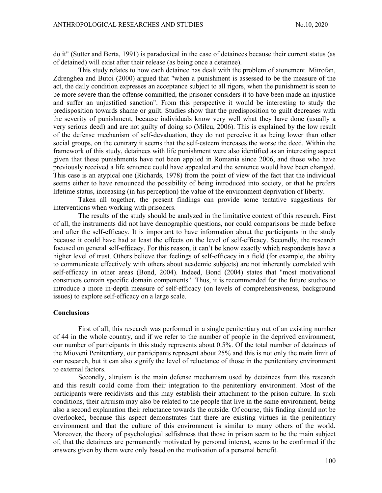do it" (Sutter and Berta, 1991) is paradoxical in the case of detainees because their current status (as of detained) will exist after their release (as being once a detainee).

This study relates to how each detainee has dealt with the problem of atonement. Mitrofan, Zdrenghea and Butoi (2000) argued that "when a punishment is assessed to be the measure of the act, the daily condition expresses an acceptance subject to all rigors, when the punishment is seen to be more severe than the offense committed, the prisoner considers it to have been made an injustice and suffer an unjustified sanction". From this perspective it would be interesting to study the predisposition towards shame or guilt. Studies show that the predisposition to guilt decreases with the severity of punishment, because individuals know very well what they have done (usually a very serious deed) and are not guilty of doing so (Milcu, 2006). This is explained by the low result of the defense mechanism of self-devaluation, they do not perceive it as being lower than other social groups, on the contrary it seems that the self-esteem increases the worse the deed. Within the framework of this study, detainees with life punishment were also identified as an interesting aspect given that these punishments have not been applied in Romania since 2006, and those who have previously received a life sentence could have appealed and the sentence would have been changed. This case is an atypical one (Richards, 1978) from the point of view of the fact that the individual seems either to have renounced the possibility of being introduced into society, or that he prefers lifetime status, increasing (in his perception) the value of the environment deprivation of liberty.

Taken all together, the present findings can provide some tentative suggestions for interventions when working with prisoners.

The results of the study should be analyzed in the limitative context of this research. First of all, the instruments did not have demographic questions, nor could comparisons be made before and after the self-efficacy. It is important to have information about the participants in the study because it could have had at least the effects on the level of self-efficacy. Secondly, the research focused on general self-efficacy. For this reason, it can't be know exactly which respondents have a higher level of trust. Others believe that feelings of self-efficacy in a field (for example, the ability to communicate effectively with others about academic subjects) are not inherently correlated with self-efficacy in other areas (Bond, 2004). Indeed, Bond (2004) states that "most motivational constructs contain specific domain components". Thus, it is recommended for the future studies to introduce a more in-depth measure of self-efficacy (on levels of comprehensiveness, background issues) to explore self-efficacy on a large scale.

### Conclusions

 First of all, this research was performed in a single penitentiary out of an existing number of 44 in the whole country, and if we refer to the number of people in the deprived environment, our number of participants in this study represents about 0.5%. Of the total number of detainees of the Mioveni Penitentiary, our participants represent about 25% and this is not only the main limit of our research, but it can also signify the level of reluctance of those in the penitentiary environment to external factors.

Secondly, altruism is the main defense mechanism used by detainees from this research and this result could come from their integration to the penitentiary environment. Most of the participants were recidivists and this may establish their attachment to the prison culture. In such conditions, their altruism may also be related to the people that live in the same environment, being also a second explanation their reluctance towards the outside. Of course, this finding should not be overlooked, because this aspect demonstrates that there are existing virtues in the penitentiary environment and that the culture of this environment is similar to many others of the world. Moreover, the theory of psychological selfishness that those in prison seem to be the main subject of, that the detainees are permanently motivated by personal interest, seems to be confirmed if the answers given by them were only based on the motivation of a personal benefit.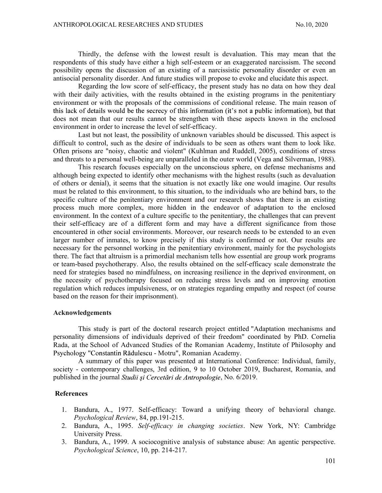Thirdly, the defense with the lowest result is devaluation. This may mean that the respondents of this study have either a high self-esteem or an exaggerated narcissism. The second possibility opens the discussion of an existing of a narcissistic personality disorder or even an antisocial personality disorder. And future studies will propose to evoke and elucidate this aspect.

 Regarding the low score of self-efficacy, the present study has no data on how they deal with their daily activities, with the results obtained in the existing programs in the penitentiary environment or with the proposals of the commissions of conditional release. The main reason of this lack of details would be the secrecy of this information (it's not a public information), but that does not mean that our results cannot be strengthen with these aspects known in the enclosed environment in order to increase the level of self-efficacy.

 Last but not least, the possibility of unknown variables should be discussed. This aspect is difficult to control, such as the desire of individuals to be seen as others want them to look like. Often prisons are "noisy, chaotic and violent" (Kuhlman and Ruddell, 2005), conditions of stress and threats to a personal well-being are unparalleled in the outer world (Vega and Silverman, 1988).

 This research focuses especially on the unconscious sphere, on defense mechanisms and although being expected to identify other mechanisms with the highest results (such as devaluation of others or denial), it seems that the situation is not exactly like one would imagine. Our results must be related to this environment, to this situation, to the individuals who are behind bars, to the specific culture of the penitentiary environment and our research shows that there is an existing process much more complex, more hidden in the endeavor of adaptation to the enclosed environment. In the context of a culture specific to the penitentiary, the challenges that can prevent their self-efficacy are of a different form and may have a different significance from those encountered in other social environments. Moreover, our research needs to be extended to an even larger number of inmates, to know precisely if this study is confirmed or not. Our results are necessary for the personnel working in the penitentiary environment, mainly for the psychologists there. The fact that altruism is a primordial mechanism tells how essential are group work programs or team-based psychotherapy. Also, the results obtained on the self-efficacy scale demonstrate the need for strategies based no mindfulness, on increasing resilience in the deprived environment, on the necessity of psychotherapy focused on reducing stress levels and on improving emotion regulation which reduces impulsiveness, or on strategies regarding empathy and respect (of course based on the reason for their imprisonment).

## Acknowledgements

This study is part of the doctoral research project entitled "Adaptation mechanisms and personality dimensions of individuals deprived of their freedom" coordinated by PhD. Cornelia Rada, at the School of Advanced Studies of the Romanian Academy, Institute of Philosophy and Psychology "Constantin Rădulescu - Motru", Romanian Academy.

A summary of this paper was presented at International Conference: Individual, family, society - contemporary challenges, 3rd edition, 9 to 10 October 2019, Bucharest, Romania, and published in the journal *Studii și Cercetări de Antropologie*, No. 6/2019.

# References

- 1. Bandura, A., 1977. Self-efficacy: Toward a unifying theory of behavioral change. Psychological Review, 84, pp.191-215.
- 2. Bandura, A., 1995. Self-efficacy in changing societies. New York, NY: Cambridge University Press.
- 3. Bandura, A., 1999. A sociocognitive analysis of substance abuse: An agentic perspective. Psychological Science, 10, pp. 214-217.